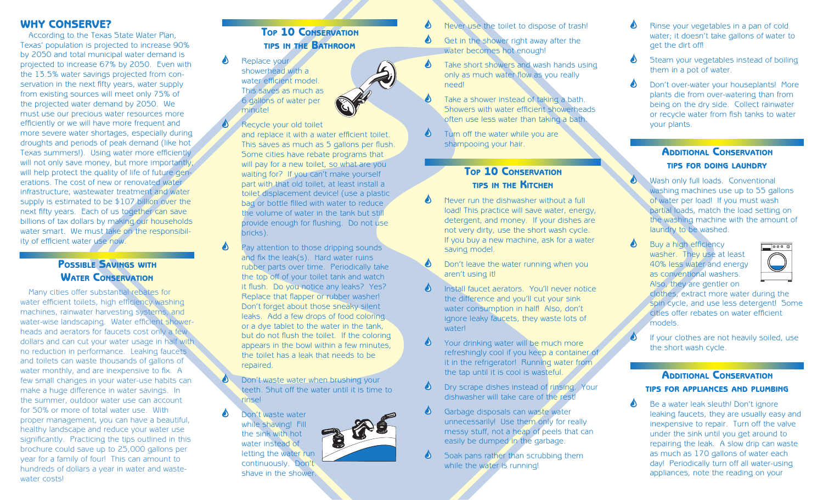#### WHY CONSERVE?

According to the Texas State Water Plan, Texas' population is projected to increase 90% by 2050 and total municipal water demand is projected to increase 67% by 2050. Even with the 13.5% water savings projected from conservation in the next fifty years, water supply from existing sources will meet only 75% of the projected water demand by 2050. We must use our precious water resources more efficiently or we will have more frequent and more severe water shortages, especially during droughts and periods of peak demand (like hot Texas summers!). Using water more efficiently will not only save money, but more importantly, will help protect the quality of life of future generations. The cost of new or renovated water infrastructure, wastewater treatment and water supply is estimated to be \$107 billion over the next fifty years. Each of us together can save billions of tax dollars by making our households water smart. We must take on the responsibility of efficient water use now.

## **POSSIBLE SAVINGS WITH** WATER CONSERVATION

Many cities offer substantial rebates for water efficient toilets, high efficiency washing machines, rainwater harvesting systems, and water-wise landscaping. Water efficient showerheads and aerators for faucets cost only a few dollars and can cut your water usage in half with no reduction in performance. Leaking faucets and toilets can waste thousands of gallons of water monthly, and are inexpensive to fix. A few small changes in your water-use habits can make a huge difference in water savings. In the summer, outdoor water use can account for 50% or more of total water use. With proper management, you can have a beautiful, healthy landscape and reduce your water use significantly. Practicing the tips outlined in this brochure could save up to 25,000 gallons per year for a family of four! This can amount to hundreds of dollars a year in water and wastewater costs!

## TOP 10 CONSERVATION TIPS IN THE BATHROOM

Replace your showerhead with a water efficient model. This saves as much as 6 gallons of water per minute!

#### Recycle your old toilet

and replace it with a water efficient toilet. This saves as much as 5 gallons per flush. Some cities have rebate programs that will pay for a new toilet, so what are you waiting for? If you can't make yourself part with that old toilet, at least install a toilet displacement device! (use a plastic bag or bottle filled with water to reduce the volume of water in the tank but still provide enough for flushing. Do not use bricks).

- Pay attention to those dripping sounds and fix the leak( $s$ ). Hard water ruins rubber parts over time. Periodically take the top off of your toilet tank and watch it flush. Do you notice any leaks? Yes? Replace that flapper or rubber washer! Don't forget about those sneaky silent leaks. Add a few drops of food coloring or a dye tablet to the water in the tank, but do not flush the toilet. If the coloring appears in the bowl within a few minutes, the toilet has a leak that needs to be repaired.
- Don't waste water when brushing your teeth. Shut off the water until it is time to rinse!

Don't waste water while shaving! Fill the sink with hot water instead of letting the water run continuously. Don't shave in the shower.



- ♦ Get in the shower right away after the water becomes hot enough!
- Take short showers and wash hands using ♦ only as much water flow as you really need!
	- Take a shower instead of taking a bath. Showers with water efficient showerheads often use less water than taking a bath.
- $\blacklozenge$ Turn off the water while you are shampooing your hair.

♦

♦

#### **TOP 10 CONSERVATION** TIPS IN THE KITCHEN

- Never run the dishwasher without a full load! This practice will save water, energy, detergent, and money. If your dishes are not very dirty, use the short wash cycle. If you buy a new machine, ask for a water saving model.
- Don't leave the water running when you aren't using it!
- Install faucet aerators. You'll never notice ♦ the difference and you'll cut your sink water consumption in half! Also, don't ignore leaky faucets, they waste lots of **waterl**
- Δ Your drinking water will be much more refreshingly cool if you keep a container of it in the refrigerator! Running water from the tap until it is cool is wasteful.
- ♦ Dry scrape dishes instead of rinsing. Your dishwasher will take care of the rest!
- ᅀ Garbage disposals can waste water unnecessarily! Use them only for really messy stuff, not a heap of peels that can easily be dumped in the garbage.
- Soak pans rather than scrubbing them while the water is running!
- Rinse your vegetables in a pan of cold ❹ water; it doesn't take gallons of water to get the dirt off!
- ♦ Steam your vegetables instead of boiling them in a pot of water.
- ♦ Don't over-water your houseplants! More plants die from over-watering than from being on the dry side. Collect rainwater or recycle water from fish tanks to water your plants.

#### **ADDITIONAL CONSERVATION** TIPS FOR DOING LAUNDRY

- Wash only full loads. Conventional washing machines use up to 55 gallons of water per load! If you must wash partial loads, match the load setting on the washing machine with the amount of laundry to be washed.
- Δ Buy a high efficiency washer. They use at least 40% less water and energy as conventional washers. Also, they are gentler on



clothes, extract more water during the spin cycle, and use less detergent! Some cities offer rebates on water efficient models.

If your clothes are not heavily soiled, use the short wash cycle.

### ADDITIONAL CONSERVATION TIPS FOR APPLIANCES AND PLUMBING

Be a water leak sleuth! Don't ignore leaking faucets, they are usually easy and inexpensive to repair. Turn off the valve under the sink until you get around to repairing the leak. A slow drip can waste as much as 170 gallons of water each day! Periodically turn off all water-using appliances, note the reading on your